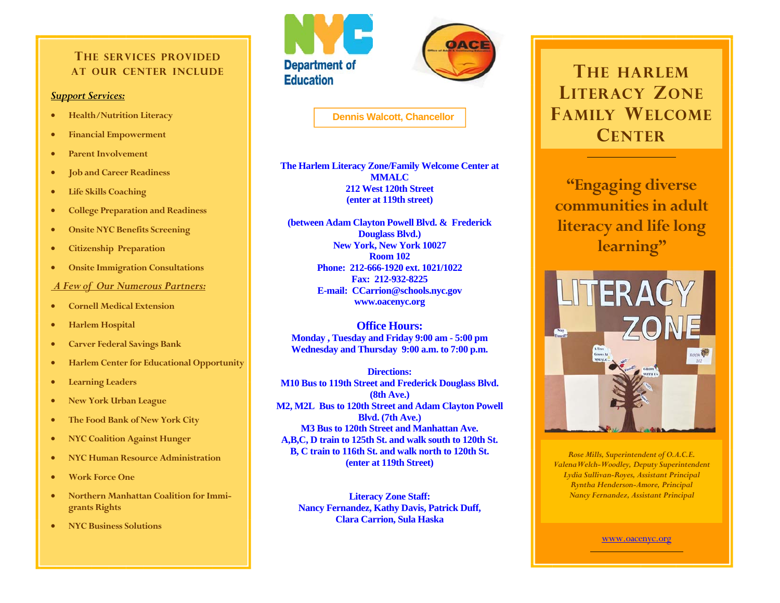#### **THE SERVICES PROVIDEDAT OUR CENTER INCLUDE**

#### *Support Services:*

- $\bullet$ **Health/Nutrition Literacy**
- $\bullet$ **Financial Empowerment**
- $\bullet$ **Parent Involvement**
- $\bullet$ **Job and Career Readiness**
- $\bullet$ **Life Skills Coaching**
- $\bullet$ **College Preparation and Readiness**
- $\bullet$ **Onsite NYC Benefits Screening**
- $\bullet$ **Citizenship Preparation**
- $\bullet$ **Onsite Immigration Consultations**

*A Few of Our Numerous Partners:*

- $\bullet$ **Cornell Medical Extension**
- $\bullet$ **Harlem Hospital**
- $\bullet$ **Carver Federal Savings Bank**
- $\bullet$ **Harlem Center for Educational Opportunity**
- $\bullet$ **Learning Leaders**
- $\bullet$ **New York Urban League**
- $\bullet$ **The Food Bank of New York City**
- $\bullet$ **NYC Coalition Against Hunger**
- $\bullet$ **NYC Human Resource Administration**
- $\bullet$ **Work Force One**
- $\bullet$  **Northern Manhattan Coalition for Immigrants Rights**
- $\bullet$ **NYC Business Solutions**





**Dennis Walcott, Chancellor** 

**The Harlem Literacy Zone/Family Welcome Center at MMALC 212 West 120th Street (enter at 119th street)** 

**(between Adam Clayton Powell Blvd. & Frederick Douglass Blvd.) New York, New York 10027 Room 102 Phone: 212-666-1920 ext. 1021/1022 Fax: 212-932-8225 E-mail: CCarrion@schools.nyc.gov www.oacenyc.org** 

**Office Hours: Monday , Tuesday and Friday 9:00 am - 5:00 pm Wednesday and Thursday 9:00 a.m. to 7:00 p.m.** 

**Directions: M10 Bus to 119th Street and Frederick Douglass Blvd. (8th Ave.) M2, M2L Bus to 120th Street and Adam Clayton Powell Blvd. (7th Ave.) M3 Bus to 120th Street and Manhattan Ave. A,B,C, D train to 125th St. and walk south to 120th St. B, C train to 116th St. and walk north to 120th St. (enter at 119th Street)** 

**Literacy Zone Staff: Nancy Fernandez, Kathy Davis, Patrick Duff, Clara Carrion, Sula Haska** 

# **THE HARLEMLITERACY ZONEFAMILY WELCOMECENTER**

**"Engaging diverse communities in adult literacy and life long learning"** 



*Rose Mills, Superintendent of O.A.C.E. ValenaWelch-Woodley, Deputy Superintendent Lydia Sullivan-Royes, Assistant Principal Ryntha Henderson-Amore, Principal Nancy Fernandez, Assistant Principal* 

www.oacenyc.org